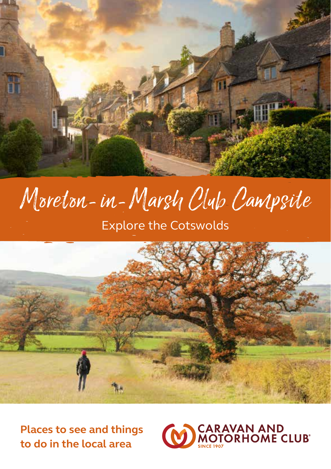

# Moreton-in-Marsh Club Campsite

Explore the Cotswolds



**Places to see and things to do in the local area**

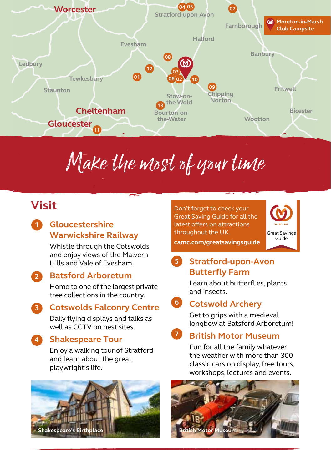

# Make the most of your time

## **Visit**

#### **Gloucestershire Warwickshire Railway 1**

Whistle through the Cotswolds and enjoy views of the Malvern Hills and Vale of Evesham.

#### **Batsford Arboretum 2**

Home to one of the largest private tree collections in the country.

**Cotswolds Falconry Centre** Daily flying displays and talks as **3**

well as CCTV on nest sites.

#### **Shakespeare Tour 4**

Enjoy a walking tour of Stratford and learn about the great playwright's life.



Don't forget to check your Great Saving Guide for all the latest offers on attractions throughout the UK.



**camc.com/greatsavingsguide**

### **Stratford-upon-Avon 5 Butterfly Farm**

Learn about butterflies, plants and insects.

## **Cotswold Archery 6**

Get to grips with a medieval longbow at Batsford Arboretum!

#### **British Motor Museum 7**

Fun for all the family whatever the weather with more than 300 classic cars on display, free tours, workshops, lectures and events.

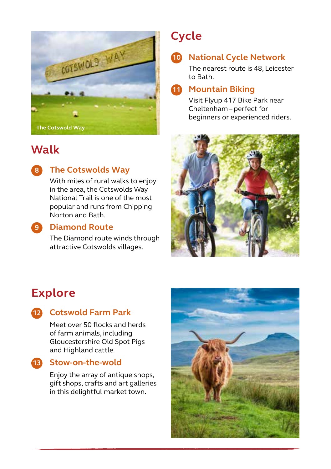

## **Walk**



### **The Cotswolds Way 8**

With miles of rural walks to enjoy in the area, the Cotswolds Way National Trail is one of the most popular and runs from Chipping Norton and Bath.



#### **Diamond Route 9**

The Diamond route winds through attractive Cotswolds villages.

# **Cycle**

## **National Cycle Network 10**

The nearest route is 48, Leicester to Bath.

#### **Mountain Biking 11**

Visit Flyup 417 Bike Park near Cheltenham – perfect for beginners or experienced riders.



## **Explore**



#### **Cotswold Farm Park 12**

Meet over 50 flocks and herds of farm animals, including Gloucestershire Old Spot Pigs and Highland cattle.



#### **Stow-on-the-wold 13**

Enjoy the array of antique shops, gift shops, crafts and art galleries in this delightful market town.